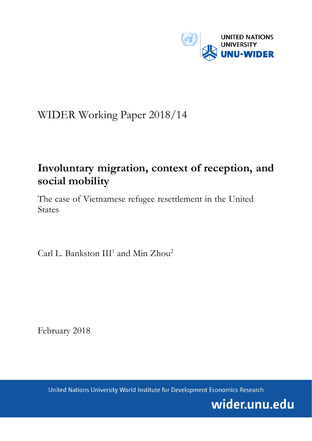

# WIDER Working Paper 2018/14

# **Involuntary migration, context of reception, and social mobility**

The case of Vietnamese refugee resettlement in the United States

Carl L. Bankston III<sup>1</sup> and Min Zhou<sup>2</sup>

February 2018

United Nations University World Institute for Development Economics Research

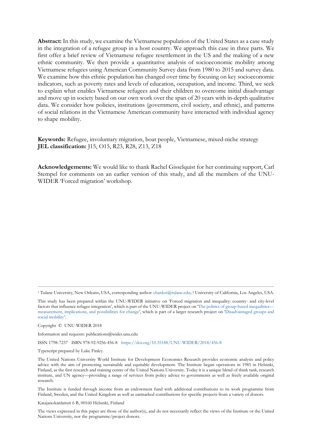**Abstract:** In this study, we examine the Vietnamese population of the United States as a case study in the integration of a refugee group in a host country. We approach this case in three parts. We first offer a brief review of Vietnamese refugee resettlement in the US and the making of a new ethnic community. We then provide a quantitative analysis of socioeconomic mobility among Vietnamese refugees using American Community Survey data from 1980 to 2015 and survey data. We examine how this ethnic population has changed over time by focusing on key socioeconomic indicators, such as poverty rates and levels of education, occupation, and income. Third, we seek to explain what enables Vietnamese refugees and their children to overcome initial disadvantage and move up in society based on our own work over the span of 20 years with in-depth qualitative data. We consider how policies, institutions (government, civil society, and ethnic), and patterns of social relations in the Vietnamese American community have interacted with individual agency to shape mobility.

**Keywords:** Refugee, involuntary migration, boat people, Vietnamese, mixed-niche strategy **JEL classification:** J15, O15, R23, R28, Z13, Z18

**Acknowledgements:** We would like to thank Rachel Gisselquist for her continuing support, Carl Stempel for comments on an earlier version of this study, and all the members of the UNU-WIDER 'Forced migration' workshop.

<sup>1</sup> Tulane University, New Orleans, USA, corresponding author: [cbankst@tulane.edu;](mailto:cbankst@tulane.edu) <sup>2</sup> University of California, Los Angeles, USA.

Copyright © UNU-WIDER 2018

Information and requests: publications@wider.unu.edu

ISSN 1798-7237 ISBN 978-92-9256-456-8 <https://doi.org/10.35188/UNU-WIDER/2018/456-8>

Typescript prepared by Luke Finley.

The Institute is funded through income from an endowment fund with additional contributions to its work programme from Finland, Sweden, and the United Kingdom as well as earmarked contributions for specific projects from a variety of donors.

Katajanokanlaituri 6 B, 00160 Helsinki, Finland

The views expressed in this paper are those of the author(s), and do not necessarily reflect the views of the Institute or the United Nations University, nor the programme/project donors.

This study has been prepared within the UNU-WIDER initiative on 'Forced migration and inequality: country- and city-level factors that influence refugee integration', which is part of the UNU-WIDER project on ['The politics of group-based inequalities](https://www.wider.unu.edu/node/476) [measurement, implications, and possibilities for change',](https://www.wider.unu.edu/node/476) which is part of a larger research project on ['Disadvantaged groups and](https://www.wider.unu.edu/node/362)  [social mobility'.](https://www.wider.unu.edu/node/362)

The United Nations University World Institute for Development Economics Research provides economic analysis and policy advice with the aim of promoting sustainable and equitable development. The Institute began operations in 1985 in Helsinki, Finland, as the first research and training centre of the United Nations University. Today it is a unique blend of think tank, research institute, and UN agency—providing a range of services from policy advice to governments as well as freely available original research.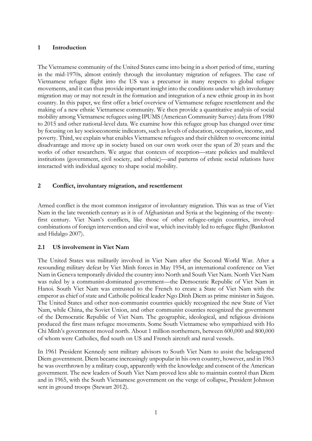#### **1 Introduction**

The Vietnamese community of the United States came into being in a short period of time, starting in the mid-1970s, almost entirely through the involuntary migration of refugees. The case of Vietnamese refugee flight into the US was a precursor in many respects to global refugee movements, and it can thus provide important insight into the conditions under which involuntary migration may or may not result in the formation and integration of a new ethnic group in its host country. In this paper, we first offer a brief overview of Vietnamese refugee resettlement and the making of a new ethnic Vietnamese community. We then provide a quantitative analysis of social mobility among Vietnamese refugees using IPUMS (American Community Survey) data from 1980 to 2015 and other national-level data. We examine how this refugee group has changed over time by focusing on key socioeconomic indicators, such as levels of education, occupation, income, and poverty. Third, we explain what enables Vietnamese refugees and their children to overcome initial disadvantage and move up in society based on our own work over the span of 20 years and the works of other researchers. We argue that contexts of reception—state policies and multilevel institutions (government, civil society, and ethnic)—and patterns of ethnic social relations have interacted with individual agency to shape social mobility.

#### **2 Conflict, involuntary migration, and resettlement**

Armed conflict is the most common instigator of involuntary migration. This was as true of Viet Nam in the late twentieth century as it is of Afghanistan and Syria at the beginning of the twentyfirst century. Viet Nam's conflicts, like those of other refugee-origin countries, involved combinations of foreign intervention and civil war, which inevitably led to refugee flight (Bankston and Hidalgo 2007).

#### **2.1 US involvement in Viet Nam**

The United States was militarily involved in Viet Nam after the Second World War. After a resounding military defeat by Viet Minh forces in May 1954, an international conference on Viet Nam in Geneva temporarily divided the country into North and South Viet Nam. North Viet Nam was ruled by a communist-dominated government—the Democratic Republic of Viet Nam in Hanoi. South Viet Nam was entrusted to the French to create a State of Viet Nam with the emperor as chief of state and Catholic political leader Ngo Dinh Diem as prime minister in Saigon. The United States and other non-communist countries quickly recognized the new State of Viet Nam, while China, the Soviet Union, and other communist counties recognized the government of the Democratic Republic of Viet Nam. The geographic, ideological, and religious divisions produced the first mass refugee movements. Some South Vietnamese who sympathized with Ho Chi Minh's government moved north. About 1 million northerners, between 600,000 and 800,000 of whom were Catholics, fled south on US and French aircraft and naval vessels.

In 1961 President Kennedy sent military advisors to South Viet Nam to assist the beleaguered Diem government. Diem became increasingly unpopular in his own country, however, and in 1963 he was overthrown by a military coup, apparently with the knowledge and consent of the American government. The new leaders of South Viet Nam proved less able to maintain control than Diem and in 1965, with the South Vietnamese government on the verge of collapse, President Johnson sent in ground troops (Stewart 2012).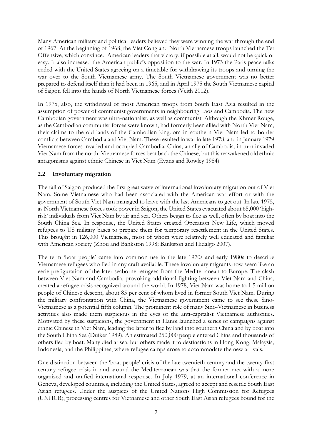Many American military and political leaders believed they were winning the war through the end of 1967. At the beginning of 1968, the Viet Cong and North Vietnamese troops launched the Tet Offensive, which convinced American leaders that victory, if possible at all, would not be quick or easy. It also increased the American public's opposition to the war. In 1973 the Paris peace talks ended with the United States agreeing on a timetable for withdrawing its troops and turning the war over to the South Vietnamese army. The South Vietnamese government was no better prepared to defend itself than it had been in 1965, and in April 1975 the South Vietnamese capital of Saigon fell into the hands of North Vietnamese forces (Veith 2012).

In 1975, also, the withdrawal of most American troops from South East Asia resulted in the assumption of power of communist governments in neighbouring Laos and Cambodia. The new Cambodian government was ultra-nationalist, as well as communist. Although the Khmer Rouge, as the Cambodian communist forces were known, had formerly been allied with North Viet Nam, their claims to the old lands of the Cambodian kingdom in southern Viet Nam led to border conflicts between Cambodia and Viet Nam. These resulted in war in late 1978, and in January 1979 Vietnamese forces invaded and occupied Cambodia. China, an ally of Cambodia, in turn invaded Viet Nam from the north. Vietnamese forces beat back the Chinese, but this reawakened old ethnic antagonisms against ethnic Chinese in Viet Nam (Evans and Rowley 1984).

#### **2.2 Involuntary migration**

The fall of Saigon produced the first great wave of international involuntary migration out of Viet Nam. Some Vietnamese who had been associated with the American war effort or with the government of South Viet Nam managed to leave with the last Americans to get out. In late 1975, as North Vietnamese forces took power in Saigon, the United States evacuated about 65,000 'highrisk' individuals from Viet Nam by air and sea. Others began to flee as well, often by boat into the South China Sea. In response, the United States created Operation New Life, which moved refugees to US military bases to prepare them for temporary resettlement in the United States. This brought in 126,000 Vietnamese, most of whom were relatively well educated and familiar with American society (Zhou and Bankston 1998; Bankston and Hidalgo 2007).

The term 'boat people' came into common use in the late 1970s and early 1980s to describe Vietnamese refugees who fled in any craft available. These involuntary migrants now seem like an eerie prefiguration of the later seaborne refugees from the Mediterranean to Europe. The clash between Viet Nam and Cambodia, provoking additional fighting between Viet Nam and China, created a refugee crisis recognized around the world. In 1978, Viet Nam was home to 1.5 million people of Chinese descent, about 85 per cent of whom lived in former South Viet Nam. During the military confrontation with China, the Vietnamese government came to see these Sino-Vietnamese as a potential fifth column. The prominent role of many Sino-Vietnamese in business activities also made them suspicious in the eyes of the anti-capitalist Vietnamese authorities. Motivated by these suspicions, the government in Hanoi launched a series of campaigns against ethnic Chinese in Viet Nam, leading the latter to flee by land into southern China and by boat into the South China Sea (Duiker 1989). An estimated 250,000 people entered China and thousands of others fled by boat. Many died at sea, but others made it to destinations in Hong Kong, Malaysia, Indonesia, and the Philippines, where refugee camps arose to accommodate the new arrivals.

One distinction between the 'boat people' crisis of the late twentieth century and the twenty-first century refugee crisis in and around the Mediterranean was that the former met with a more organized and unified international response. In July 1979, at an international conference in Geneva, developed countries, including the United States, agreed to accept and resettle South East Asian refugees. Under the auspices of the United Nations High Commission for Refugees (UNHCR), processing centres for Vietnamese and other South East Asian refugees bound for the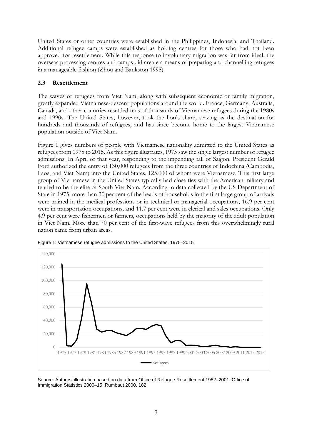United States or other countries were established in the Philippines, Indonesia, and Thailand. Additional refugee camps were established as holding centres for those who had not been approved for resettlement. While this response to involuntary migration was far from ideal, the overseas processing centres and camps did create a means of preparing and channelling refugees in a manageable fashion (Zhou and Bankston 1998).

#### **2.3 Resettlement**

The waves of refugees from Viet Nam, along with subsequent economic or family migration, greatly expanded Vietnamese-descent populations around the world. France, Germany, Australia, Canada, and other countries resettled tens of thousands of Vietnamese refugees during the 1980s and 1990s. The United States, however, took the lion's share, serving as the destination for hundreds and thousands of refugees, and has since become home to the largest Vietnamese population outside of Viet Nam.

Figure 1 gives numbers of people with Vietnamese nationality admitted to the United States as refugees from 1975 to 2015. As this figure illustrates, 1975 saw the single largest number of refugee admissions. In April of that year, responding to the impending fall of Saigon, President Gerald Ford authorized the entry of 130,000 refugees from the three countries of Indochina (Cambodia, Laos, and Viet Nam) into the United States, 125,000 of whom were Vietnamese. This first large group of Vietnamese in the United States typically had close ties with the American military and tended to be the elite of South Viet Nam. According to data collected by the US Department of State in 1975, more than 30 per cent of the heads of households in the first large group of arrivals were trained in the medical professions or in technical or managerial occupations, 16.9 per cent were in transportation occupations, and 11.7 per cent were in clerical and sales occupations. Only 4.9 per cent were fishermen or farmers, occupations held by the majority of the adult population in Viet Nam. More than 70 per cent of the first-wave refugees from this overwhelmingly rural nation came from urban areas.



Figure 1: Vietnamese refugee admissions to the United States, 1975–2015

Source: Authors' illustration based on data from Office of Refugee Resettlement 1982–2001; Office of Immigration Statistics 2000–15; Rumbaut 2000, 182.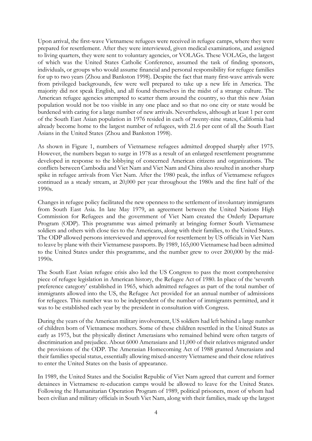Upon arrival, the first-wave Vietnamese refugees were received in refugee camps, where they were prepared for resettlement. After they were interviewed, given medical examinations, and assigned to living quarters, they were sent to voluntary agencies, or VOLAGs. These VOLAGs, the largest of which was the United States Catholic Conference, assumed the task of finding sponsors, individuals, or groups who would assume financial and personal responsibility for refugee families for up to two years (Zhou and Bankston 1998). Despite the fact that many first-wave arrivals were from privileged backgrounds, few were well prepared to take up a new life in America. The majority did not speak English, and all found themselves in the midst of a strange culture. The American refugee agencies attempted to scatter them around the country, so that this new Asian population would not be too visible in any one place and so that no one city or state would be burdened with caring for a large number of new arrivals. Nevertheless, although at least 1 per cent of the South East Asian population in 1976 resided in each of twenty-nine states, California had already become home to the largest number of refugees, with 21.6 per cent of all the South East Asians in the United States (Zhou and Bankston 1998).

As shown in Figure 1, numbers of Vietnamese refugees admitted dropped sharply after 1975. However, the numbers began to surge in 1978 as a result of an enlarged resettlement programme developed in response to the lobbying of concerned American citizens and organizations. The conflicts between Cambodia and Viet Nam and Viet Nam and China also resulted in another sharp spike in refugee arrivals from Viet Nam. After the 1980 peak, the influx of Vietnamese refugees continued as a steady stream, at 20,000 per year throughout the 1980s and the first half of the 1990s.

Changes in refugee policy facilitated the new openness to the settlement of involuntary immigrants from South East Asia. In late May 1979, an agreement between the United Nations High Commission for Refugees and the government of Viet Nam created the Orderly Departure Program (ODP). This programme was aimed primarily at bringing former South Vietnamese soldiers and others with close ties to the Americans, along with their families, to the United States. The ODP allowed persons interviewed and approved for resettlement by US officials in Viet Nam to leave by plane with their Vietnamese passports. By 1989, 165,000 Vietnamese had been admitted to the United States under this programme, and the number grew to over 200,000 by the mid-1990s.

The South East Asian refugee crisis also led the US Congress to pass the most comprehensive piece of refugee legislation in American history, the Refugee Act of 1980. In place of the 'seventh preference category' established in 1965, which admitted refugees as part of the total number of immigrants allowed into the US, the Refugee Act provided for an annual number of admissions for refugees. This number was to be independent of the number of immigrants permitted, and it was to be established each year by the president in consultation with Congress.

During the years of the American military involvement, US soldiers had left behind a large number of children born of Vietnamese mothers. Some of these children resettled in the United States as early as 1975, but the physically distinct Amerasians who remained behind were often targets of discrimination and prejudice. About 6000 Amerasians and 11,000 of their relatives migrated under the provisions of the ODP. The Amerasian Homecoming Act of 1988 granted Amerasians and their families special status, essentially allowing mixed-ancestry Vietnamese and their close relatives to enter the United States on the basis of appearance.

In 1989, the United States and the Socialist Republic of Viet Nam agreed that current and former detainees in Vietnamese re-education camps would be allowed to leave for the United States. Following the Humanitarian Operation Program of 1989, political prisoners, most of whom had been civilian and military officials in South Viet Nam, along with their families, made up the largest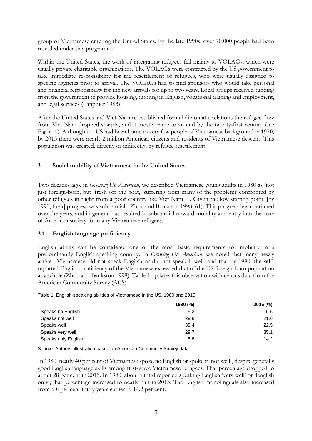group of Vietnamese entering the United States. By the late 1990s, over 70,000 people had been resettled under this programme.

Within the United States, the work of integrating refugees fell mainly to VOLAGs, which were usually private charitable organizations. The VOLAGs were contracted by the US government to take immediate responsibility for the resettlement of refugees, who were usually assigned to specific agencies prior to arrival. The VOLAGs had to find sponsors who would take personal and financial responsibility for the new arrivals for up to two years. Local groups received funding from the government to provide housing, tutoring in English, vocational training and employment, and legal services (Lanphier 1983).

After the United States and Viet Nam re-established formal diplomatic relations the refugee flow from Viet Nam dropped sharply, and it mostly came to an end by the twenty-first century (see Figure 1). Although the US had been home to very few people of Vietnamese background in 1970, by 2015 there were nearly 2 million American citizens and residents of Vietnamese descent. This population was created, directly or indirectly, by refugee resettlement.

#### **3 Social mobility of Vietnamese in the United States**

Two decades ago, in *Growing Up American*, we described Vietnamese young adults in 1980 as 'not just foreign-born, but 'fresh off the boat,' suffering from many of the problems confronted by other refugees in flight from a poor country like Viet Nam … Given the low starting point, [by 1990, their] progress was substantial' (Zhou and Bankston 1998, 61). This progress has continued over the years, and in general has resulted in substantial upward mobility and entry into the core of American society for many Vietnamese refugees.

#### **3.1 English language proficiency**

English ability can be considered one of the most basic requirements for mobility in a predominantly English-speaking country. In *Growing Up American*, we noted that many newly arrived Vietnamese did not speak English or did not speak it well, and that by 1990, the selfreported English proficiency of the Vietnamese exceeded that of the US foreign-born population as a whole (Zhou and Bankston 1998). Table 1 updates this observation with census data from the American Community Survey (ACS).

|                     | 1980 (%) | 2015 (%) |
|---------------------|----------|----------|
| Speaks no English   | 9.2      | 6.5      |
| Speaks not well     | 29.8     | 21.6     |
| Speaks well         | 35.4     | 22.5     |
| Speaks very well    | 29.7     | 35.1     |
| Speaks only English | 5.8      | 14.2     |

Table 1: English-speaking abilities of Vietnamese in the US, 1980 and 2015

Source: Authors' illustration based on American Community Survey data.

In 1980, nearly 40 per cent of Vietnamese spoke no English or spoke it 'not well', despite generally good English language skills among first-wave Vietnamese refugees. That percentage dropped to about 28 per cent in 2015. In 1980, about a third reported speaking English 'very well' or 'English only'; that percentage increased to nearly half in 2015. The English monolinguals also increased from 5.8 per cent thirty years earlier to 14.2 per cent.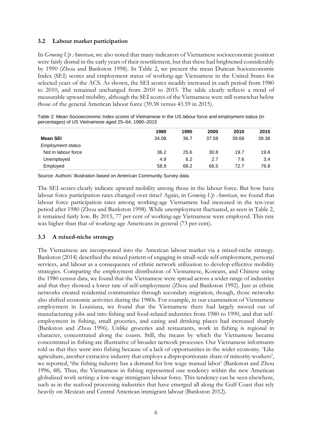#### **3.2 Labour market participation**

In *Growing Up American*, we also noted that many indicators of Vietnamese socioeconomic position were fairly dismal in the early years of their resettlement, but that these had brightened considerably by 1990 (Zhou and Bankston 1998). In Table 2, we present the mean Duncan Socioeconomic Index (SEI) scores and employment status of working-age Vietnamese in the United States for selected years of the ACS. As shown, the SEI scores steadily increased in each period from 1980 to 2010, and remained unchanged from 2010 to 2015. The table clearly reflects a trend of measurable upward mobility, although the SEI scores of the Vietnamese were still somewhat below those of the general American labour force (39.38 versus 43.59 in 2015).

|                          | 1980  | 1990 | 2000  | 2010  | 2015  |
|--------------------------|-------|------|-------|-------|-------|
| Mean SEI                 | 34.08 | 36.7 | 37.58 | 39.68 | 39.38 |
| <b>Employment status</b> |       |      |       |       |       |
| Not in labour force      | 36.2  | 25.6 | 30.8  | 19.7  | 19.8  |
| Unemployed               | 4.9   | 6.2  | 2.7   | 7.6   | 3.4   |
| Employed                 | 58.9  | 68.2 | 66.5  | 72.7  | 76.8  |

Table 2: Mean Socioeconomic Index scores of Vietnamese in the US labour force and employment status (in percentages) of US Vietnamese aged 25–64, 1980–2015

Source: Authors' illustration based on American Community Survey data.

The SEI scores clearly indicate upward mobility among those in the labour force. But how have labour force participation rates changed over time? Again, in *Growing Up American*, we found that labour force participation rates among working-age Vietnamese had increased in the ten-year period after 1980 (Zhou and Bankston 1998). While unemployment fluctuated, as seen in Table 2, it remained fairly low. By 2015, 77 per cent of working-age Vietnamese were employed. This rate was higher than that of working-age Americans in general (73 per cent).

#### **3.3 A mixed-niche strategy**

The Vietnamese are incorporated into the American labour market via a mixed-niche strategy. Bankston (2014) described the mixed pattern of engaging in small-scale self-employment, personal services, and labour as a consequence of ethnic network utilization to develop effective mobility strategies. Comparing the employment distribution of Vietnamese, Koreans, and Chinese using the 1980 census data, we found that the Vietnamese were spread across a wider range of industries and that they showed a lower rate of self-employment (Zhou and Bankston 1992). Just as ethnic networks created residential communities through secondary migration, though, those networks also shifted economic activities during the 1980s. For example, in our examination of Vietnamese employment in Louisiana, we found that the Vietnamese there had largely moved out of manufacturing jobs and into fishing and food-related industries from 1980 to 1990, and that selfemployment in fishing, small groceries, and eating and drinking places had increased sharply (Bankston and Zhou 1996). Unlike groceries and restaurants, work in fishing is regional in character, concentrated along the coasts. Still, the means by which the Vietnamese became concentrated in fishing are illustrative of broader network processes. Our Vietnamese informants told us that they went into fishing because of a lack of opportunities in the wider economy. 'Like agriculture, another extractive industry that employs a disproportionate share of minority workers', we reported, 'the fishing industry has a demand for low wage manual labor' (Bankston and Zhou 1996, 48). Thus, the Vietnamese in fishing represented one tendency within the new American globalized work setting: a low-wage immigrant labour force. This tendency can be seen elsewhere, such as in the seafood processing industries that have emerged all along the Gulf Coast that rely heavily on Mexican and Central American immigrant labour (Bankston 2012).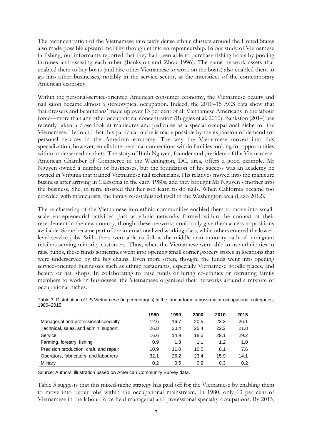The reconcentration of the Vietnamese into fairly dense ethnic clusters around the United States also made possible upward mobility through ethnic entrepreneurship. In our study of Vietnamese in fishing, our informants reported that they had been able to purchase fishing boats by pooling incomes and assisting each other (Bankston and Zhou 1996). The same network assets that enabled them to buy boats (and hire other Vietnamese to work on the boats) also enabled them to go into other businesses, notably in the service sector, at the interstices of the contemporary American economy.

Within the personal-service-oriented American consumer economy, the Vietnamese beauty and nail salon became almost a stereotypical occupation. Indeed, the 2010–15 ACS data show that 'hairdressers and beauticians' made up over 13 per cent of all Vietnamese Americans in the labour force—more than any other occupational concentration (Ruggles et al. 2010). Bankston (2014) has recently taken a close look at manicures and pedicures as a special occupational niche for the Vietnamese. He found that this particular niche is made possible by the expansion of demand for personal services in the American economy. The way the Vietnamese moved into this specialization, however, entails interpersonal connections within families looking for opportunities within underserved markets. The story of Binh Nguyen, founder and president of the Vietnamese-American Chamber of Commerce in the Washington, DC, area, offers a good example. Mr Nguyen owned a number of businesses, but the foundation of his success was an academy he owned in Virginia that trained Vietnamese nail technicians. His relatives moved into the manicure business after arriving in California in the early 1980s, and they brought Mr Nguyen's mother into the business. She, in turn, insisted that her son learn to do nails. When California became too crowded with manicurists, the family re-established itself in the Washington area (Lazo 2012).

The re-clustering of the Vietnamese into ethnic communities enabled them to move into smallscale entrepreneurial activities. Just as ethnic networks formed within the context of their resettlement in the new country, though, these networks could only give them access to positions available. Some became part of the internationalized working class, while others entered the lowerlevel service jobs. Still others were able to follow the middle-man minority path of immigrant retailers serving minority customers. Thus, when the Vietnamese were able to use ethnic ties to raise funds, these funds sometimes went into opening small corner grocery stores in locations that were underserved by the big chains. Even more often, though, the funds went into opening service-oriented businesses such as ethnic restaurants, especially Vietnamese noodle places, and beauty or nail shops. In collaborating to raise funds or hiring co-ethnics or recruiting family members to work in businesses, the Vietnamese organized their networks around a mixture of occupational niches.

|                                         | 1980 | 1990 | 2000 | 2010 | 2015 |
|-----------------------------------------|------|------|------|------|------|
| Managerial and professional specialty   | 12.6 | 16.7 | 20.5 | 23.3 | 26.1 |
| Technical, sales, and admin. support    | 26.8 | 30.4 | 25.4 | 22.2 | 21.8 |
| Service                                 | 16.6 | 14.9 | 18.5 | 29.1 | 29.2 |
| Farming, forestry, fishing              | 0.9  | 1.3  | 1.1  | 1.2  | 1.0  |
| Precision production, craft, and repair | 10.9 | 11.0 | 10.5 | 8.1  | 7.6  |
| Operators, fabricators, and labourers   | 32.1 | 25.2 | 23.4 | 15.9 | 14.1 |
| Military                                | 0.2  | 0.5  | 0.2  | 0.3  | 0.2  |

Table 3: Distribution of US Vietnamese (in percentages) in the labour force across major occupational categories, 1980–2015

Source: Authors' illustration based on American Community Survey data.

Table 3 suggests that this mixed-niche strategy has paid off for the Vietnamese by enabling them to move into better jobs within the occupational mainstream. In 1980, only 13 per cent of Vietnamese in the labour force held managerial and professional specialty occupations. By 2015,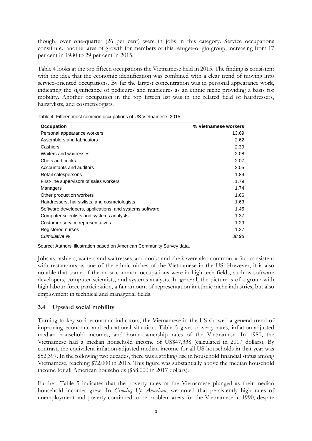though, over one-quarter (26 per cent) were in jobs in this category. Service occupations constituted another area of growth for members of this refugee-origin group, increasing from 17 per cent in 1980 to 29 per cent in 2015.

Table 4 looks at the top fifteen occupations the Vietnamese held in 2015. The finding is consistent with the idea that the economic identification was combined with a clear trend of moving into service-oriented occupations. By far the largest concentration was in personal appearance work, indicating the significance of pedicures and manicures as an ethnic niche providing a basis for mobility. Another occupation in the top fifteen list was in the related field of hairdressers, hairstylists, and cosmetologists.

| <b>Occupation</b>                                       | % Vietnamese workers |
|---------------------------------------------------------|----------------------|
| Personal appearance workers                             | 13.69                |
| Assemblers and fabricators                              | 2.62                 |
| Cashiers                                                | 2.39                 |
| Waiters and waitresses                                  | 2.08                 |
| Chefs and cooks                                         | 2.07                 |
| Accountants and auditors                                | 2.05                 |
| Retail salespersons                                     | 1.89                 |
| First-line supervisors of sales workers                 | 1.79                 |
| Managers                                                | 1.74                 |
| Other production workers                                | 1.66                 |
| Hairdressers, hairstylists, and cosmetologists          | 1.63                 |
| Software developers, applications, and systems software | 1.45                 |
| Computer scientists and systems analysts                | 1.37                 |
| Customer service representatives                        | 1.29                 |
| Registered nurses                                       | 1.27                 |
| Cumulative %                                            | 38.98                |
|                                                         |                      |

Table 4: Fifteen most common occupations of US Vietnamese, 2015

Source: Authors' illustration based on American Community Survey data.

Jobs as cashiers, waiters and waitresses, and cooks and chefs were also common, a fact consistent with restaurants as one of the ethnic niches of the Vietnamese in the US. However, it is also notable that some of the most common occupations were in high-tech fields, such as software developers, computer scientists, and systems analysts. In general, the picture is of a group with high labour force participation, a fair amount of representation in ethnic niche industries, but also employment in technical and managerial fields.

## **3.4 Upward social mobility**

Turning to key socioeconomic indicators, the Vietnamese in the US showed a general trend of improving economic and educational situation. Table 5 gives poverty rates, inflation-adjusted median household incomes, and home-ownership rates of the Vietnamese. In 1980, the Vietnamese had a median household income of US\$47,338 (calculated in 2017 dollars). By contrast, the equivalent inflation-adjusted median income for all US households in that year was \$52,397. In the following two decades, there was a striking rise in household financial status among Vietnamese, reaching \$72,000 in 2015. This figure was substantially above the median household income for all American households (\$58,000 in 2017 dollars).

Further, Table 5 indicates that the poverty rates of the Vietnamese plunged as their median household incomes grew. In *Growing Up American*, we noted that persistently high rates of unemployment and poverty continued to be problem areas for the Vietnamese in 1990, despite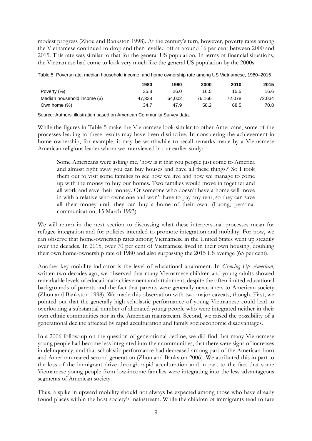modest progress (Zhou and Bankston 1998). At the century's turn, however, poverty rates among the Vietnamese continued to drop and then levelled off at around 16 per cent between 2000 and 2015. This rate was similar to that for the general US population. In terms of financial situations, the Vietnamese had come to look very much like the general US population by the 2000s.

|                              | 1980   | 1990   | 2000   | 2010   | 2015   |
|------------------------------|--------|--------|--------|--------|--------|
| Poverty (%)                  | 35.8   | 26.0   | 16.5   | 15.5   | 16.6   |
| Median household income (\$) | 47,338 | 64.002 | 76.166 | 72.078 | 72.034 |
| Own home (%)                 | 34.7   | 47.9   | 58.2   | 68.5   | 70.8   |

Table 5: Poverty rate, median household income, and home ownership rate among US Vietnamese, 1980–2015

Source: Authors' illustration based on American Community Survey data.

While the figures in Table 5 make the Vietnamese look similar to other Americans, some of the processes leading to these results may have been distinctive. In considering the achievement in home ownership, for example, it may be worthwhile to recall remarks made by a Vietnamese American religious leader whom we interviewed in our earlier study:

Some Americans were asking me, 'how is it that you people just come to America and almost right away you can buy houses and have all these things?' So I took them out to visit some families to see how we live and how we manage to come up with the money to buy our homes. Two families would move in together and all work and save their money. Or someone who doesn't have a home will move in with a relative who owns one and won't have to pay any rent, so they can save all their money until they can buy a home of their own. (Luong, personal communication, 15 March 1993)

We will return in the next section to discussing what these interpersonal processes mean for refugee integration and for policies intended to promote integration and mobility. For now, we can observe that home-ownership rates among Vietnamese in the United States went up steadily over the decades. In 2015, over 70 per cent of Vietnamese lived in their own housing, doubling their own home-ownership rate of 1980 and also surpassing the 2015 US average (65 per cent).

Another key mobility indicator is the level of educational attainment. In *Growing Up American*, written two decades ago, we observed that many Vietnamese children and young adults showed remarkable levels of educational achievement and attainment, despite the often limited educational backgrounds of parents and the fact that parents were generally newcomers to American society (Zhou and Bankston 1998). We made this observation with two major caveats, though. First, we pointed out that the generally high scholastic performance of young Vietnamese could lead to overlooking a substantial number of alienated young people who were integrated neither in their own ethnic communities nor in the American mainstream. Second, we raised the possibility of a generational decline affected by rapid acculturation and family socioeconomic disadvantages.

In a 2006 follow-up on the question of generational decline, we did find that many Vietnamese young people had become less integrated into their communities, that there were signs of increases in delinquency, and that scholastic performance had decreased among part of the American-born and American-reared second generation (Zhou and Bankston 2006). We attributed this in part to the loss of the immigrant drive through rapid acculturation and in part to the fact that some Vietnamese young people from low-income families were integrating into the less advantageous segments of American society.

Thus, a spike in upward mobility should not always be expected among those who have already found places within the host society's mainstream. While the children of immigrants tend to fare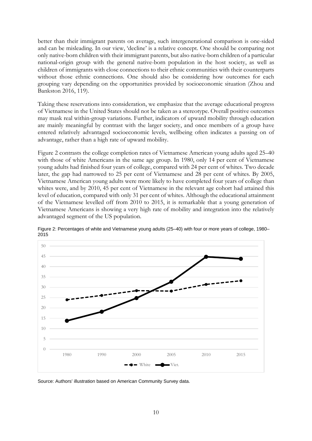better than their immigrant parents on average, such intergenerational comparison is one-sided and can be misleading. In our view, 'decline' is a relative concept. One should be comparing not only native-born children with their immigrant parents, but also native-born children of a particular national-origin group with the general native-born population in the host society, as well as children of immigrants with close connections to their ethnic communities with their counterparts without those ethnic connections. One should also be considering how outcomes for each grouping vary depending on the opportunities provided by socioeconomic situation (Zhou and Bankston 2016, 119).

Taking these reservations into consideration, we emphasize that the average educational progress of Vietnamese in the United States should not be taken as a stereotype. Overall positive outcomes may mask real within-group variations. Further, indicators of upward mobility through education are mainly meaningful by contrast with the larger society, and once members of a group have entered relatively advantaged socioeconomic levels, wellbeing often indicates a passing on of advantage, rather than a high rate of upward mobility.

Figure 2 contrasts the college completion rates of Vietnamese American young adults aged 25–40 with those of white Americans in the same age group. In 1980, only 14 per cent of Vietnamese young adults had finished four years of college, compared with 24 per cent of whites. Two decade later, the gap had narrowed to 25 per cent of Vietnamese and 28 per cent of whites. By 2005, Vietnamese American young adults were more likely to have completed four years of college than whites were, and by 2010, 45 per cent of Vietnamese in the relevant age cohort had attained this level of education, compared with only 31 per cent of whites. Although the educational attainment of the Vietnamese levelled off from 2010 to 2015, it is remarkable that a young generation of Vietnamese Americans is showing a very high rate of mobility and integration into the relatively advantaged segment of the US population.



Figure 2: Percentages of white and Vietnamese young adults (25–40) with four or more years of college, 1980– 2015

Source: Authors' illustration based on American Community Survey data.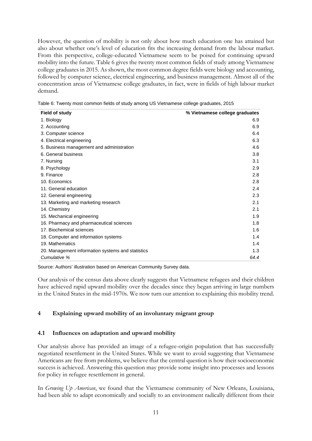However, the question of mobility is not only about how much education one has attained but also about whether one's level of education fits the increasing demand from the labour market. From this perspective, college-educated Vietnamese seem to be poised for continuing upward mobility into the future. Table 6 gives the twenty most common fields of study among Vietnamese college graduates in 2015. As shown, the most common degree fields were biology and accounting, followed by computer science, electrical engineering, and business management. Almost all of the concentration areas of Vietnamese college graduates, in fact, were in fields of high labour market demand.

Table 6: Twenty most common fields of study among US Vietnamese college graduates, 2015

| <b>Field of study</b>                             | % Vietnamese college graduates |
|---------------------------------------------------|--------------------------------|
| 1. Biology                                        | 6.9                            |
| 2. Accounting                                     | 6.9                            |
| 3. Computer science                               | 6.4                            |
| 4. Electrical engineering                         | 6.3                            |
| 5. Business management and administration         | 4.6                            |
| 6. General business                               | 3.8                            |
| 7. Nursing                                        | 3.1                            |
| 8. Psychology                                     | 2.9                            |
| 9. Finance                                        | 2.8                            |
| 10. Economics                                     | 2.8                            |
| 11. General education                             | 2.4                            |
| 12. General engineering                           | 2.3                            |
| 13. Marketing and marketing research              | 2.1                            |
| 14. Chemistry                                     | 2.1                            |
| 15. Mechanical engineering                        | 1.9                            |
| 16. Pharmacy and pharmaceutical sciences          | 1.8                            |
| 17. Biochemical sciences                          | 1.6                            |
| 18. Computer and information systems              | 1.4                            |
| 19. Mathematics                                   | 1.4                            |
| 20. Management information systems and statistics | 1.3                            |
| Cumulative %                                      | 64.4                           |

Source: Authors' illustration based on American Community Survey data.

Our analysis of the census data above clearly suggests that Vietnamese refugees and their children have achieved rapid upward mobility over the decades since they began arriving in large numbers in the United States in the mid-1970s. We now turn our attention to explaining this mobility trend.

#### **4 Explaining upward mobility of an involuntary migrant group**

#### **4.1 Influences on adaptation and upward mobility**

Our analysis above has provided an image of a refugee-origin population that has successfully negotiated resettlement in the United States. While we want to avoid suggesting that Vietnamese Americans are free from problems, we believe that the central question is how their socioeconomic success is achieved. Answering this question may provide some insight into processes and lessons for policy in refugee resettlement in general.

In *Growing Up American*, we found that the Vietnamese community of New Orleans, Louisiana, had been able to adapt economically and socially to an environment radically different from their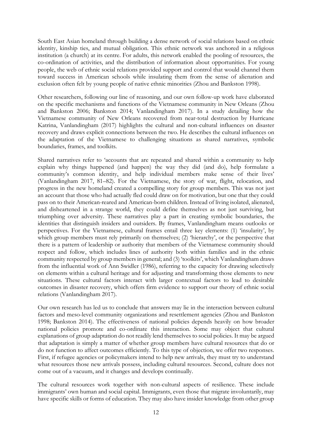South East Asian homeland through building a dense network of social relations based on ethnic identity, kinship ties, and mutual obligation. This ethnic network was anchored in a religious institution (a church) at its centre. For adults, this network enabled the pooling of resources, the co-ordination of activities, and the distribution of information about opportunities. For young people, the web of ethnic social relations provided support and control that would channel them toward success in American schools while insulating them from the sense of alienation and exclusion often felt by young people of native ethnic minorities (Zhou and Bankston 1998).

Other researchers, following our line of reasoning, and our own follow-up work have elaborated on the specific mechanisms and functions of the Vietnamese community in New Orleans (Zhou and Bankston 2006; Bankston 2014; Vanlandingham 2017). In a study detailing how the Vietnamese community of New Orleans recovered from near-total destruction by Hurricane Katrina, Vanlandingham (2017) highlights the cultural and non-cultural influences on disaster recovery and draws explicit connections between the two. He describes the cultural influences on the adaptation of the Vietnamese to challenging situations as shared narratives, symbolic boundaries, frames, and toolkits.

Shared narratives refer to 'accounts that are repeated and shared within a community to help explain why things happened (and happen) the way they did (and do), help formulate a community's common identity, and help individual members make sense of their lives' (Vanlandingham 2017, 81–82). For the Vietnamese, the story of war, flight, relocation, and progress in the new homeland created a compelling story for group members. This was not just an account that those who had actually fled could draw on for motivation, but one that they could pass on to their American-reared and American-born children. Instead of living isolated, alienated, and disheartened in a strange world, they could define themselves as not just surviving, but triumphing over adversity. These narratives play a part in creating symbolic boundaries, the identities that distinguish insiders and outsiders. By frames, Vanlandingham means outlooks or perspectives. For the Vietnamese, cultural frames entail three key elements: (1) 'insularity', by which group members must rely primarily on themselves; (2) 'hierarchy', or the perspective that there is a pattern of leadership or authority that members of the Vietnamese community should respect and follow, which includes lines of authority both within families and in the ethnic community respected by group members in general; and (3) 'toolkits', which Vanlandingham draws from the influential work of Ann Swidler (1986), referring to the capacity for drawing selectively on elements within a cultural heritage and for adjusting and transforming those elements to new situations. These cultural factors interact with larger contextual factors to lead to desirable outcomes in disaster recovery, which offers firm evidence to support our theory of ethnic social relations (Vanlandingham 2017).

Our own research has led us to conclude that answers may lie in the interaction between cultural factors and meso-level community organizations and resettlement agencies (Zhou and Bankston 1998; Bankston 2014). The effectiveness of national policies depends heavily on how broader national policies promote and co-ordinate this interaction. Some may object that cultural explanations of group adaptation do not readily lend themselves to social policies. It may be argued that adaptation is simply a matter of whether group members have cultural resources that do or do not function to affect outcomes efficiently. To this type of objection, we offer two responses. First, if refugee agencies or policymakers intend to help new arrivals, they must try to understand what resources those new arrivals possess, including cultural resources. Second, culture does not come out of a vacuum, and it changes and develops continually.

The cultural resources work together with non-cultural aspects of resilience. These include immigrants' own human and social capital. Immigrants, even those that migrate involuntarily, may have specific skills or forms of education. They may also have insider knowledge from other group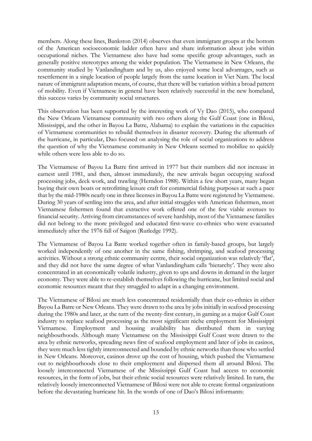members. Along these lines, Bankston (2014) observes that even immigrant groups at the bottom of the American socioeconomic ladder often have and share information about jobs within occupational niches. The Vietnamese also have had some specific group advantages, such as generally positive stereotypes among the wider population. The Vietnamese in New Orleans, the community studied by Vanlandingham and by us, also enjoyed some local advantages, such as resettlement in a single location of people largely from the same location in Viet Nam. The local nature of immigrant adaptation means, of course, that there will be variation within a broad pattern of mobility. Even if Vietnamese in general have been relatively successful in the new homeland, this success varies by community social structures.

This observation has been supported by the interesting work of Vy Dao (2015), who compared the New Orleans Vietnamese community with two others along the Gulf Coast (one in Biloxi, Mississippi, and the other in Bayou La Batre, Alabama) to explain the variations in the capacities of Vietnamese communities to rebuild themselves in disaster recovery. During the aftermath of the hurricane, in particular, Dao focused on analysing the role of social organizations to address the question of why the Vietnamese community in New Orleans seemed to mobilize so quickly while others were less able to do so.

The Vietnamese of Bayou La Batre first arrived in 1977 but their numbers did not increase in earnest until 1981, and then, almost immediately, the new arrivals began occupying seafood processing jobs, deck work, and trawling (Herndon 1988). Within a few short years, many began buying their own boats or retrofitting leisure craft for commercial fishing purposes at such a pace that by the mid-1980s nearly one in three licenses in Bayou La Batre were registered by Vietnamese. During 30 years of settling into the area, and after initial struggles with American fishermen, most Vietnamese fishermen found that extractive work offered one of the few viable avenues to financial security. Arriving from circumstances of severe hardship, most of the Vietnamese families did not belong to the more privileged and educated first-wave co-ethnics who were evacuated immediately after the 1976 fall of Saigon (Rutledge 1992).

The Vietnamese of Bayou La Batre worked together often in family-based groups, but largely worked independently of one another in the same fishing, shrimping, and seafood processing activities. Without a strong ethnic community centre, their social organization was relatively 'flat', and they did not have the same degree of what Vanlandingham calls 'hierarchy'. They were also concentrated in an economically volatile industry, given to ups and downs in demand in the larger economy. They were able to re-establish themselves following the hurricane, but limited social and economic resources meant that they struggled to adapt in a changing environment.

The Vietnamese of Biloxi are much less concentrated residentially than their co-ethnics in either Bayou La Batre or New Orleans. They were drawn to the area by jobs initially in seafood processing during the 1980s and later, at the turn of the twenty-first century, in gaming as a major Gulf Coast industry to replace seafood processing as the most significant niche employment for Mississippi Vietnamese. Employment and housing availability has distributed them in varying neighbourhoods. Although many Vietnamese on the Mississippi Gulf Coast were drawn to the area by ethnic networks, spreading news first of seafood employment and later of jobs in casinos, they were much less tightly interconnected and bounded by ethnic networks than those who settled in New Orleans. Moreover, casinos drove up the cost of housing, which pushed the Vietnamese out to neighbourhoods close to their employment and dispersed them all around Biloxi. The loosely interconnected Vietnamese of the Mississippi Gulf Coast had access to economic resources, in the form of jobs, but their ethnic social resources were relatively limited. In turn, the relatively loosely interconnected Vietnamese of Biloxi were not able to create formal organizations before the devastating hurricane hit. In the words of one of Dao's Biloxi informants: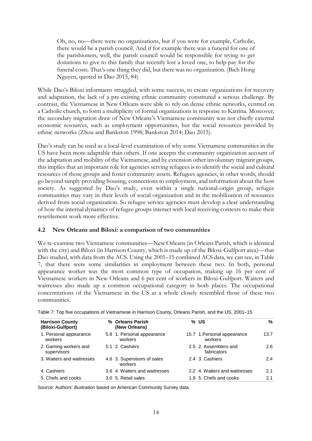Oh, no, no—there were no organizations, but if you were for example, Catholic, there would be a parish council. And if for example there was a funeral for one of the parishioners, well, the parish council would be responsible for trying to get donations to give to this family that recently lost a loved one, to help pay for the funeral costs. That's one thing they did, but there was no organization. (Bich Hong Nguyen, quoted in Dao 2015, 84)

While Dao's Biloxi informants struggled, with some success, to create organizations for recovery and adaptation, the lack of a pre-existing ethnic community constituted a serious challenge. By contrast, the Vietnamese in New Orleans were able to rely on dense ethnic networks, centred on a Catholic church, to form a multiplicity of formal organizations in response to Katrina. Moreover, the secondary migration draw of New Orleans's Vietnamese community was not chiefly external economic resources, such as employment opportunities, but the social resources provided by ethnic networks (Zhou and Bankston 1998; Bankston 2014; Dao 2015).

Dao's study can be used as a local-level examination of why some Vietnamese communities in the US have been more adaptable than others. If one accepts the community organization account of the adaptation and mobility of the Vietnamese, and by extension other involuntary migrant groups, this implies that an important role for agencies serving refugees is to identify the social and cultural resources of those groups and foster community assets. Refugees agencies, in other words, should go beyond simply providing housing, connections to employment, and information about the host society. As suggested by Dao's study, even within a single national-origin group, refugee communities may vary in their levels of social organization and in the mobilization of resources derived from social organization. So refugee service agencies must develop a clear understanding of how the internal dynamics of refugee groups interact with local receiving contexts to make their resettlement work more effective.

#### **4.2 New Orleans and Biloxi: a comparison of two communities**

We re-examine two Vietnamese communities—New Orleans (in Orleans Parish, which is identical with the city) and Biloxi (in Harrison County, which is made up of the Biloxi-Gulfport area)—that Dao studied, with data from the ACS. Using the 2001–15 combined ACS data, we can see, in Table 7, that there were some similarities in employment between these two. In both, personal appearance worker was the most common type of occupation, making up 16 per cent of Vietnamese workers in New Orleans and 6 per cent of workers in Biloxi-Gulfport. Waiters and waitresses also made up a common occupational category in both places. The occupational concentrations of the Vietnamese in the US as a whole closely resembled those of these two communities.

| <b>Harrison County</b><br>(Biloxi-Gulfport) | % Orleans Parish<br>(New Orleans)      | % US                                   | %    |
|---------------------------------------------|----------------------------------------|----------------------------------------|------|
| 1. Personal appearance<br>workers           | 5.8 1. Personal appearance<br>workers  | 15.7 1. Personal appearance<br>workers | 13.7 |
| 2. Gaming workers and<br>supervisors        | 5.1 2. Cashiers                        | 2.5 2. Assemblers and<br>fabricators   | 2.6  |
| 3. Waiters and waitresses                   | 4.6 3. Supervisors of sales<br>workers | 2.4 3. Cashiers                        | 2.4  |
| 4. Cashiers                                 | 3.6 4. Waiters and waitresses          | 2.2 4. Waiters and waitresses          | 2.1  |
| 5. Chefs and cooks                          | 3.0 5. Retail sales                    | 1.9 5. Chefs and cooks                 | 2.1  |
|                                             |                                        |                                        |      |

Table 7: Top five occupations of Vietnamese in Harrison County, Orleans Parish, and the US, 2001–15

Source: Authors' illustration based on American Community Survey data.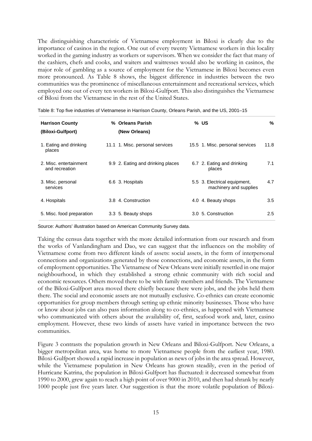The distinguishing characteristic of Vietnamese employment in Biloxi is clearly due to the importance of casinos in the region. One out of every twenty Vietnamese workers in this locality worked in the gaming industry as workers or supervisors. When we consider the fact that many of the cashiers, chefs and cooks, and waiters and waitresses would also be working in casinos, the major role of gambling as a source of employment for the Vietnamese in Biloxi becomes even more pronounced. As Table 8 shows, the biggest difference in industries between the two communities was the prominence of miscellaneous entertainment and recreational services, which employed one out of every ten workers in Biloxi-Gulfport. This also distinguishes the Vietnamese of Biloxi from the Vietnamese in the rest of the United States.

| <b>Harrison County</b><br>(Biloxi-Gulfport) | % Orleans Parish<br>(New Orleans) | % US                                                   | %    |
|---------------------------------------------|-----------------------------------|--------------------------------------------------------|------|
| 1. Eating and drinking<br>places            | 11.1 1. Misc. personal services   | 15.5 1. Misc. personal services                        | 11.8 |
| 2. Misc. entertainment<br>and recreation    | 9.9 2. Eating and drinking places | 6.7 2. Eating and drinking<br>places                   | 7.1  |
| 3. Misc. personal<br>services               | 6.6 3. Hospitals                  | 5.5 3. Electrical equipment,<br>machinery and supplies | 4.7  |
| 4. Hospitals                                | 3.8 4. Construction               | 4.0 4. Beauty shops                                    | 3.5  |
| 5. Misc. food preparation                   | 3.3 5. Beauty shops               | 3.0 5. Construction                                    | 2.5  |

Table 8: Top five industries of Vietnamese in Harrison County, Orleans Parish, and the US, 2001–15

Source: Authors' illustration based on American Community Survey data.

Taking the census data together with the more detailed information from our research and from the works of Vanlandingham and Dao, we can suggest that the influences on the mobility of Vietnamese come from two different kinds of assets: social assets, in the form of interpersonal connections and organizations generated by those connections, and economic assets, in the form of employment opportunities. The Vietnamese of New Orleans were initially resettled in one major neighbourhood, in which they established a strong ethnic community with rich social and economic resources. Others moved there to be with family members and friends. The Vietnamese of the Biloxi-Gulfport area moved there chiefly because there were jobs, and the jobs held them there. The social and economic assets are not mutually exclusive. Co-ethnics can create economic opportunities for group members through setting up ethnic minority businesses. Those who have or know about jobs can also pass information along to co-ethnics, as happened with Vietnamese who communicated with others about the availability of, first, seafood work and, later, casino employment. However, these two kinds of assets have varied in importance between the two communities.

Figure 3 contrasts the population growth in New Orleans and Biloxi-Gulfport. New Orleans, a bigger metropolitan area, was home to more Vietnamese people from the earliest year, 1980. Biloxi-Gulfport showed a rapid increase in population as news of jobs in the area spread. However, while the Vietnamese population in New Orleans has grown steadily, even in the period of Hurricane Katrina, the population in Biloxi-Gulfport has fluctuated: it decreased somewhat from 1990 to 2000, grew again to reach a high point of over 9000 in 2010, and then had shrank by nearly 1000 people just five years later. Our suggestion is that the more volatile population of Biloxi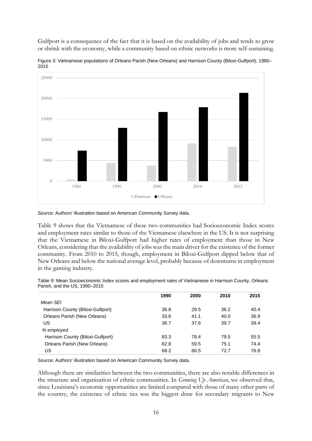Gulfport is a consequence of the fact that it is based on the availability of jobs and tends to grow or shrink with the economy, while a community based on ethnic networks is more self-sustaining.



Figure 3: Vietnamese populations of Orleans Parish (New Orleans) and Harrison County (Biloxi-Gulfport), 1980– 2015

#### Source: Authors' illustration based on American Community Survey data.

Table 9 shows that the Vietnamese of these two communities had Socioeconomic Index scores and employment rates similar to those of the Vietnamese elsewhere in the US. It is not surprising that the Vietnamese in Biloxi-Gulfport had higher rates of employment than those in New Orleans, considering that the availability of jobs was the main driver for the existence of the former community. From 2010 to 2015, though, employment in Biloxi-Gulfport dipped below that of New Orleans and below the national average level, probably because of downturns in employment in the gaming industry.

| Table 9: Mean Socioeconomic Index scores and employment rates of Vietnamese in Harrison County, Orleans |  |
|---------------------------------------------------------------------------------------------------------|--|
| Parish, and the US, 1990–2015                                                                           |  |

|                                   | 1990 | 2000 | 2010 | 2015 |
|-----------------------------------|------|------|------|------|
| Mean SEI                          |      |      |      |      |
| Harrison County (Biloxi-Gulfport) | 36.8 | 29.5 | 36.2 | 40.4 |
| Orleans Parish (New Orleans)      | 33.6 | 41.1 | 40.0 | 36.9 |
| US                                | 36.7 | 37.6 | 39.7 | 39.4 |
| % employed                        |      |      |      |      |
| Harrison County (Biloxi-Gulfport) | 83.3 | 78.4 | 79.5 | 55.5 |
| Orleans Parish (New Orleans)      | 62.8 | 59.5 | 75.1 | 74.4 |
| US                                | 68.2 | 66.5 | 72.7 | 76.8 |
|                                   |      |      |      |      |

Source: Authors' illustration based on American Community Survey data.

Although there are similarities between the two communities, there are also notable differences in the structure and organization of ethnic communities. In *Growing Up American*, we observed that, since Louisiana's economic opportunities are limited compared with those of many other parts of the country, the existence of ethnic ties was the biggest draw for secondary migrants to New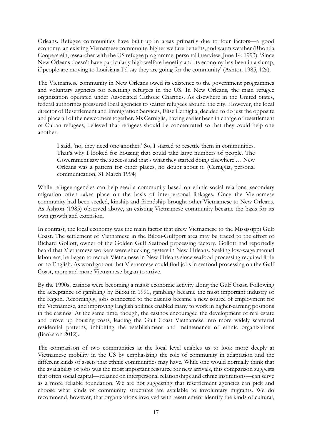Orleans. Refugee communities have built up in areas primarily due to four factors—a good economy, an existing Vietnamese community, higher welfare benefits, and warm weather (Rhonda Cooperstein, researcher with the US refugee programme, personal interview, June 14, 1993). 'Since New Orleans doesn't have particularly high welfare benefits and its economy has been in a slump, if people are moving to Louisiana I'd say they are going for the community' (Ashton 1985, 12a).

The Vietnamese community in New Orleans owed its existence to the government programmes and voluntary agencies for resettling refugees in the US. In New Orleans, the main refugee organization operated under Associated Catholic Charities. As elsewhere in the United States, federal authorities pressured local agencies to scatter refugees around the city. However, the local director of Resettlement and Immigration Services, Elise Cerniglia, decided to do just the opposite and place all of the newcomers together. Ms Cerniglia, having earlier been in charge of resettlement of Cuban refugees, believed that refugees should be concentrated so that they could help one another.

I said, 'no, they need one another.' So, I started to resettle them in communities. That's why I looked for housing that could take large numbers of people. The Government saw the success and that's what they started doing elsewhere … New Orleans was a pattern for other places, no doubt about it. (Cerniglia, personal communication, 31 March 1994)

While refugee agencies can help seed a community based on ethnic social relations, secondary migration often takes place on the basis of interpersonal linkages. Once the Vietnamese community had been seeded, kinship and friendship brought other Vietnamese to New Orleans. As Ashton (1985) observed above, an existing Vietnamese community became the basis for its own growth and extension.

In contrast, the local economy was the main factor that drew Vietnamese to the Mississippi Gulf Coast. The settlement of Vietnamese in the Biloxi-Gulfport area may be traced to the effort of Richard Gollott, owner of the Golden Gulf Seafood processing factory. Gollott had reportedly heard that Vietnamese workers were shucking oysters in New Orleans. Seeking low-wage manual labourers, he began to recruit Vietnamese in New Orleans since seafood processing required little or no English. As word got out that Vietnamese could find jobs in seafood processing on the Gulf Coast, more and more Vietnamese began to arrive.

By the 1990s, casinos were becoming a major economic activity along the Gulf Coast. Following the acceptance of gambling by Biloxi in 1991, gambling became the most important industry of the region. Accordingly, jobs connected to the casinos became a new source of employment for the Vietnamese, and improving English abilities enabled many to work in higher-earning positions in the casinos. At the same time, though, the casinos encouraged the development of real estate and drove up housing costs, leading the Gulf Coast Vietnamese into more widely scattered residential patterns, inhibiting the establishment and maintenance of ethnic organizations (Bankston 2012).

The comparison of two communities at the local level enables us to look more deeply at Vietnamese mobility in the US by emphasizing the role of community in adaptation and the different kinds of assets that ethnic communities may have. While one would normally think that the availability of jobs was the most important resource for new arrivals, this comparison suggests that often social capital—reliance on interpersonal relationships and ethnic institutions—can serve as a more reliable foundation. We are not suggesting that resettlement agencies can pick and choose what kinds of community structures are available to involuntary migrants. We do recommend, however, that organizations involved with resettlement identify the kinds of cultural,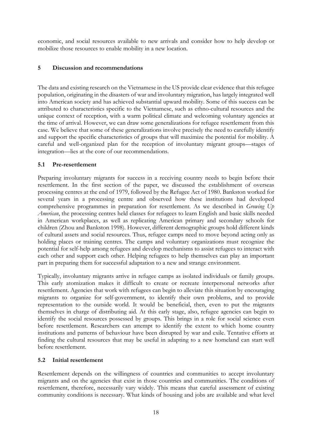economic, and social resources available to new arrivals and consider how to help develop or mobilize those resources to enable mobility in a new location.

## **5 Discussion and recommendations**

The data and existing research on the Vietnamese in the US provide clear evidence that this refugee population, originating in the disasters of war and involuntary migration, has largely integrated well into American society and has achieved substantial upward mobility. Some of this success can be attributed to characteristics specific to the Vietnamese, such as ethno-cultural resources and the unique context of reception, with a warm political climate and welcoming voluntary agencies at the time of arrival. However, we can draw some generalizations for refugee resettlement from this case. We believe that some of these generalizations involve precisely the need to carefully identify and support the specific characteristics of groups that will maximize the potential for mobility. A careful and well-organized plan for the reception of involuntary migrant groups—stages of integration—lies at the core of our recommendations.

## **5.1 Pre-resettlement**

Preparing involuntary migrants for success in a receiving country needs to begin before their resettlement. In the first section of the paper, we discussed the establishment of overseas processing centres at the end of 1979, followed by the Refugee Act of 1980. Bankston worked for several years in a processing centre and observed how these institutions had developed comprehensive programmes in preparation for resettlement. As we described in *Growing Up American*, the processing centres held classes for refugees to learn English and basic skills needed in American workplaces, as well as replicating American primary and secondary schools for children (Zhou and Bankston 1998). However, different demographic groups hold different kinds of cultural assets and social resources. Thus, refugee camps need to move beyond acting only as holding places or training centres. The camps and voluntary organizations must recognize the potential for self-help among refugees and develop mechanisms to assist refugees to interact with each other and support each other. Helping refugees to help themselves can play an important part in preparing them for successful adaptation to a new and strange environment.

Typically, involuntary migrants arrive in refugee camps as isolated individuals or family groups. This early atomization makes it difficult to create or recreate interpersonal networks after resettlement. Agencies that work with refugees can begin to alleviate this situation by encouraging migrants to organize for self-government, to identify their own problems, and to provide representation to the outside world. It would be beneficial, then, even to put the migrants themselves in charge of distributing aid. At this early stage, also, refugee agencies can begin to identify the social resources possessed by groups. This brings in a role for social science even before resettlement. Researchers can attempt to identify the extent to which home country institutions and patterns of behaviour have been disrupted by war and exile. Tentative efforts at finding the cultural resources that may be useful in adapting to a new homeland can start well before resettlement.

## **5.2 Initial resettlement**

Resettlement depends on the willingness of countries and communities to accept involuntary migrants and on the agencies that exist in those countries and communities. The conditions of resettlement, therefore, necessarily vary widely. This means that careful assessment of existing community conditions is necessary. What kinds of housing and jobs are available and what level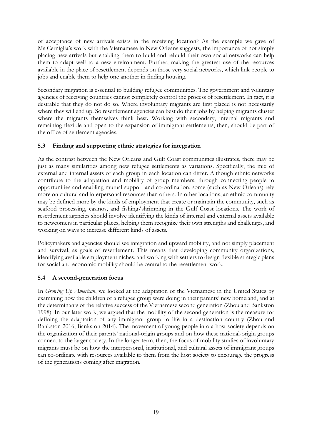of acceptance of new arrivals exists in the receiving location? As the example we gave of Ms Cerniglia's work with the Vietnamese in New Orleans suggests, the importance of not simply placing new arrivals but enabling them to build and rebuild their own social networks can help them to adapt well to a new environment. Further, making the greatest use of the resources available in the place of resettlement depends on those very social networks, which link people to jobs and enable them to help one another in finding housing.

Secondary migration is essential to building refugee communities. The government and voluntary agencies of receiving countries cannot completely control the process of resettlement. In fact, it is desirable that they do not do so. Where involuntary migrants are first placed is not necessarily where they will end up. So resettlement agencies can best do their jobs by helping migrants cluster where the migrants themselves think best. Working with secondary, internal migrants and remaining flexible and open to the expansion of immigrant settlements, then, should be part of the office of settlement agencies.

## **5.3 Finding and supporting ethnic strategies for integration**

As the contrast between the New Orleans and Gulf Coast communities illustrates, there may be just as many similarities among new refugee settlements as variations. Specifically, the mix of external and internal assets of each group in each location can differ. Although ethnic networks contribute to the adaptation and mobility of group members, through connecting people to opportunities and enabling mutual support and co-ordination, some (such as New Orleans) rely more on cultural and interpersonal resources than others. In other locations, an ethnic community may be defined more by the kinds of employment that create or maintain the community, such as seafood processing, casinos, and fishing/shrimping in the Gulf Coast locations. The work of resettlement agencies should involve identifying the kinds of internal and external assets available to newcomers in particular places, helping them recognize their own strengths and challenges, and working on ways to increase different kinds of assets.

Policymakers and agencies should see integration and upward mobility, and not simply placement and survival, as goals of resettlement. This means that developing community organizations, identifying available employment niches, and working with settlers to design flexible strategic plans for social and economic mobility should be central to the resettlement work.

## **5.4 A second-generation focus**

In *Growing Up American*, we looked at the adaptation of the Vietnamese in the United States by examining how the children of a refugee group were doing in their parents' new homeland, and at the determinants of the relative success of the Vietnamese second generation (Zhou and Bankston 1998). In our later work, we argued that the mobility of the second generation is the measure for defining the adaptation of any immigrant group to life in a destination country (Zhou and Bankston 2016; Bankston 2014). The movement of young people into a host society depends on the organization of their parents' national-origin groups and on how these national-origin groups connect to the larger society. In the longer term, then, the focus of mobility studies of involuntary migrants must be on how the interpersonal, institutional, and cultural assets of immigrant groups can co-ordinate with resources available to them from the host society to encourage the progress of the generations coming after migration.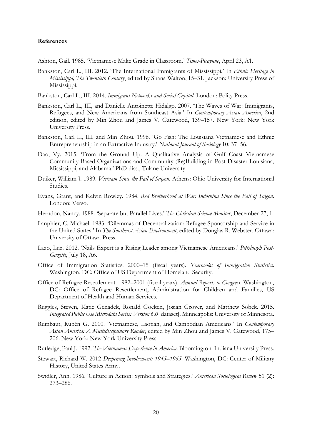#### **References**

- Ashton, Gail. 1985. 'Vietnamese Make Grade in Classroom.' *Times-Picayune*, April 23, A1.
- Bankston, Carl L., III. 2012. 'The International Immigrants of Mississippi.' In *Ethnic Heritage in Mississippi, The Twentieth Century*, edited by Shana Walton, 15–31. Jackson: University Press of Mississippi.
- Bankston, Carl L., III. 2014. *Immigrant Networks and Social Capital*. London: Polity Press.
- Bankston, Carl L., III, and Danielle Antoinette Hidalgo. 2007. 'The Waves of War: Immigrants, Refugees, and New Americans from Southeast Asia.' In *Contemporary Asian America*, 2nd edition, edited by Min Zhou and James V. Gatewood, 139–157. New York: New York University Press.
- Bankston, Carl L., III, and Min Zhou. 1996. 'Go Fish: The Louisiana Vietnamese and Ethnic Entrepreneurship in an Extractive Industry.' *National Journal of Sociology* 10: 37–56.
- Dao, Vy. 2015. 'From the Ground Up: A Qualitative Analysis of Gulf Coast Vietnamese Community-Based Organizations and Community (Re)Building in Post-Disaster Louisiana, Mississippi, and Alabama.' PhD diss., Tulane University.
- Duiker, William J. 1989. *Vietnam Since the Fall of Saigon*. Athens: Ohio University for International Studies.
- Evans, Grant, and Kelvin Rowley. 1984. *Red Brotherhood at War: Indochina Since the Fall of Saigon*. London: Verso.
- Herndon, Nancy. 1988. 'Separate but Parallel Lives.' *The Christian Science Monitor*, December 27, 1.
- Lanphier, C. Michael. 1983. 'Dilemmas of Decentralization: Refugee Sponsorship and Service in the United States.' In *The Southeast Asian Environment*, edited by Douglas R. Webster. Ottawa: University of Ottawa Press.
- Lazo, Luz. 2012. 'Nails Expert is a Rising Leader among Vietnamese Americans.' *Pittsburgh Post-Gazette*, July 18, A6.
- Office of Immigration Statistics. 2000–15 (fiscal years). *Yearbooks of Immigration Statistics*. Washington, DC: Office of US Department of Homeland Security.
- Office of Refugee Resettlement. 1982–2001 (fiscal years). *Annual Reports to Congress*. Washington, DC: Office of Refugee Resettlement, Administration for Children and Families, US Department of Health and Human Services.
- Ruggles, Steven, Katie Genadek, Ronald Goeken, Josian Grover, and Matthew Sobek. 2015. *Integrated Public Use Microdata Series: Version 6.0* [dataset]. Minneapolis: University of Minnesota.
- Rumbaut, Rubén G. 2000. 'Vietnamese, Laotian, and Cambodian Americans.' In *Contemporary Asian America: A Multidisciplinary Reader*, edited by Min Zhou and James V. Gatewood, 175– 206. New York: New York University Press.
- Rutledge, Paul J. 1992. *The Vietnamese Experience in America*. Bloomington: Indiana University Press.
- Stewart, Richard W. 2012 *Deepening Involvement: 1945–1965*. Washington, DC: Center of Military History, United States Army.
- Swidler, Ann. 1986. 'Culture in Action: Symbols and Strategies.' *American Sociological Review* 51 (2): 273–286.